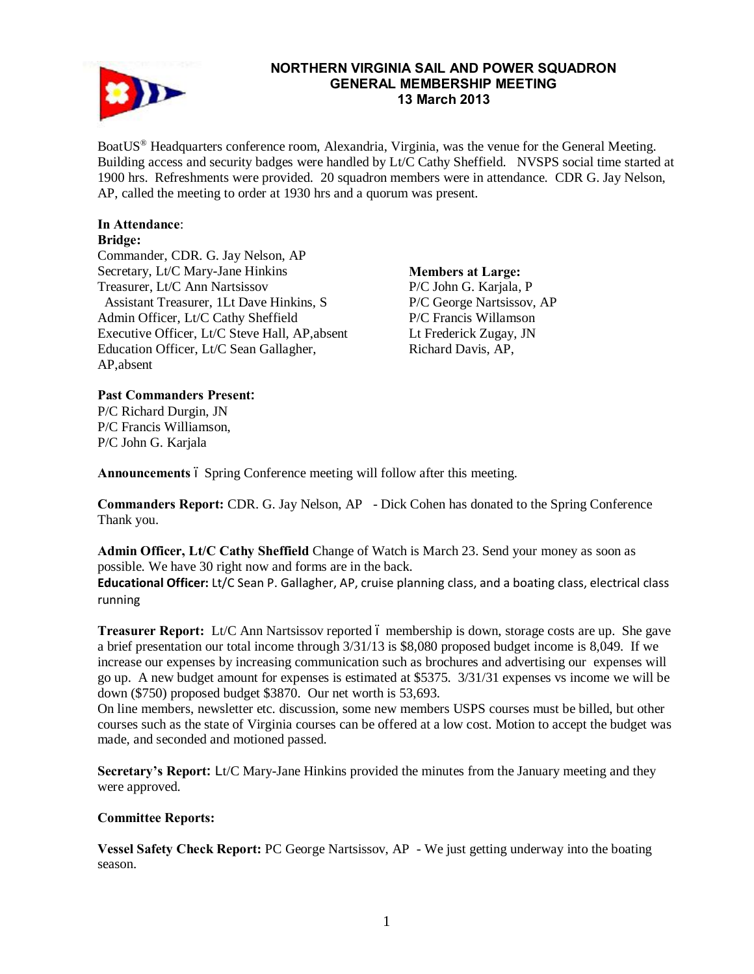

#### **NORTHERN VIRGINIA SAIL AND POWER SQUADRON GENERAL MEMBERSHIP MEETING 13 March 2013**

BoatUS® Headquarters conference room, Alexandria, Virginia, was the venue for the General Meeting. Building access and security badges were handled by Lt/C Cathy Sheffield. NVSPS social time started at 1900 hrs. Refreshments were provided. 20 squadron members were in attendance. CDR G. Jay Nelson, AP, called the meeting to order at 1930 hrs and a quorum was present.

# **In Attendance**:

#### **Bridge:**

Commander, CDR. G. Jay Nelson, AP Secretary, Lt/C Mary-Jane Hinkins Treasurer, Lt/C Ann Nartsissov Assistant Treasurer, 1Lt Dave Hinkins, S Admin Officer, Lt/C Cathy Sheffield Executive Officer, Lt/C Steve Hall, AP,absent Education Officer, Lt/C Sean Gallagher, AP,absent

**Members at Large:**  P/C John G. Karjala, P P/C George Nartsissov, AP P/C Francis Willamson Lt Frederick Zugay, JN Richard Davis, AP,

## **Past Commanders Present:**

P/C Richard Durgin, JN P/C Francis Williamson, P/C John G. Karjala

Announcements 6 Spring Conference meeting will follow after this meeting.

**Commanders Report:** CDR. G. Jay Nelson, AP - Dick Cohen has donated to the Spring Conference Thank you.

**Admin Officer, Lt/C Cathy Sheffield** Change of Watch is March 23. Send your money as soon as possible. We have 30 right now and forms are in the back.

**Educational Officer:** Lt/C Sean P. Gallagher, AP, cruise planning class, and a boating class, electrical class running

**Treasurer Report:** Lt/C Ann Nartsissov reported 6 membership is down, storage costs are up. She gave a brief presentation our total income through 3/31/13 is \$8,080 proposed budget income is 8,049. If we increase our expenses by increasing communication such as brochures and advertising our expenses will go up. A new budget amount for expenses is estimated at \$5375. 3/31/31 expenses vs income we will be down (\$750) proposed budget \$3870. Our net worth is 53,693.

On line members, newsletter etc. discussion, some new members USPS courses must be billed, but other courses such as the state of Virginia courses can be offered at a low cost. Motion to accept the budget was made, and seconded and motioned passed.

**Secretary's Report:** Lt/C Mary-Jane Hinkins provided the minutes from the January meeting and they were approved.

## **Committee Reports:**

**Vessel Safety Check Report:** PC George Nartsissov, AP - We just getting underway into the boating season.